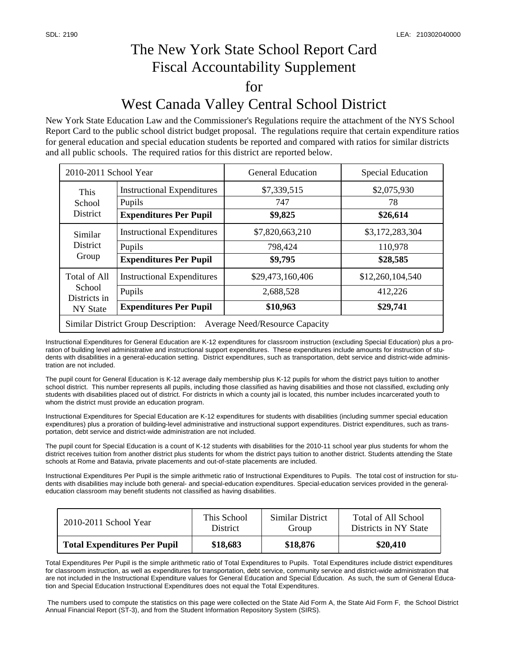## The New York State School Report Card Fiscal Accountability Supplement for West Canada Valley Central School District

New York State Education Law and the Commissioner's Regulations require the attachment of the NYS School Report Card to the public school district budget proposal. The regulations require that certain expenditure ratios for general education and special education students be reported and compared with ratios for similar districts and all public schools. The required ratios for this district are reported below.

| 2010-2011 School Year                                                               |                                   | <b>General Education</b> | <b>Special Education</b> |  |  |  |
|-------------------------------------------------------------------------------------|-----------------------------------|--------------------------|--------------------------|--|--|--|
| This<br>School<br>District                                                          | <b>Instructional Expenditures</b> | \$7,339,515              | \$2,075,930              |  |  |  |
|                                                                                     | Pupils                            | 747                      | 78                       |  |  |  |
|                                                                                     | <b>Expenditures Per Pupil</b>     | \$9,825                  | \$26,614                 |  |  |  |
| Similar<br><b>District</b><br>Group                                                 | <b>Instructional Expenditures</b> | \$7,820,663,210          | \$3,172,283,304          |  |  |  |
|                                                                                     | Pupils                            | 798,424                  | 110,978                  |  |  |  |
|                                                                                     | <b>Expenditures Per Pupil</b>     | \$9,795                  | \$28,585                 |  |  |  |
| <b>Total of All</b><br>School<br>Districts in<br><b>NY State</b>                    | <b>Instructional Expenditures</b> | \$29,473,160,406         | \$12,260,104,540         |  |  |  |
|                                                                                     | Pupils                            | 2,688,528                | 412,226                  |  |  |  |
|                                                                                     | <b>Expenditures Per Pupil</b>     | \$10,963                 | \$29,741                 |  |  |  |
| <b>Similar District Group Description:</b><br><b>Average Need/Resource Capacity</b> |                                   |                          |                          |  |  |  |

Instructional Expenditures for General Education are K-12 expenditures for classroom instruction (excluding Special Education) plus a proration of building level administrative and instructional support expenditures. These expenditures include amounts for instruction of students with disabilities in a general-education setting. District expenditures, such as transportation, debt service and district-wide administration are not included.

The pupil count for General Education is K-12 average daily membership plus K-12 pupils for whom the district pays tuition to another school district. This number represents all pupils, including those classified as having disabilities and those not classified, excluding only students with disabilities placed out of district. For districts in which a county jail is located, this number includes incarcerated youth to whom the district must provide an education program.

Instructional Expenditures for Special Education are K-12 expenditures for students with disabilities (including summer special education expenditures) plus a proration of building-level administrative and instructional support expenditures. District expenditures, such as transportation, debt service and district-wide administration are not included.

The pupil count for Special Education is a count of K-12 students with disabilities for the 2010-11 school year plus students for whom the district receives tuition from another district plus students for whom the district pays tuition to another district. Students attending the State schools at Rome and Batavia, private placements and out-of-state placements are included.

Instructional Expenditures Per Pupil is the simple arithmetic ratio of Instructional Expenditures to Pupils. The total cost of instruction for students with disabilities may include both general- and special-education expenditures. Special-education services provided in the generaleducation classroom may benefit students not classified as having disabilities.

| 2010-2011 School Year               | This School     | Similar District | Total of All School   |
|-------------------------------------|-----------------|------------------|-----------------------|
|                                     | <b>District</b> | Group            | Districts in NY State |
| <b>Total Expenditures Per Pupil</b> | \$18,683        | \$18,876         | \$20,410              |

Total Expenditures Per Pupil is the simple arithmetic ratio of Total Expenditures to Pupils. Total Expenditures include district expenditures for classroom instruction, as well as expenditures for transportation, debt service, community service and district-wide administration that are not included in the Instructional Expenditure values for General Education and Special Education. As such, the sum of General Education and Special Education Instructional Expenditures does not equal the Total Expenditures.

 The numbers used to compute the statistics on this page were collected on the State Aid Form A, the State Aid Form F, the School District Annual Financial Report (ST-3), and from the Student Information Repository System (SIRS).